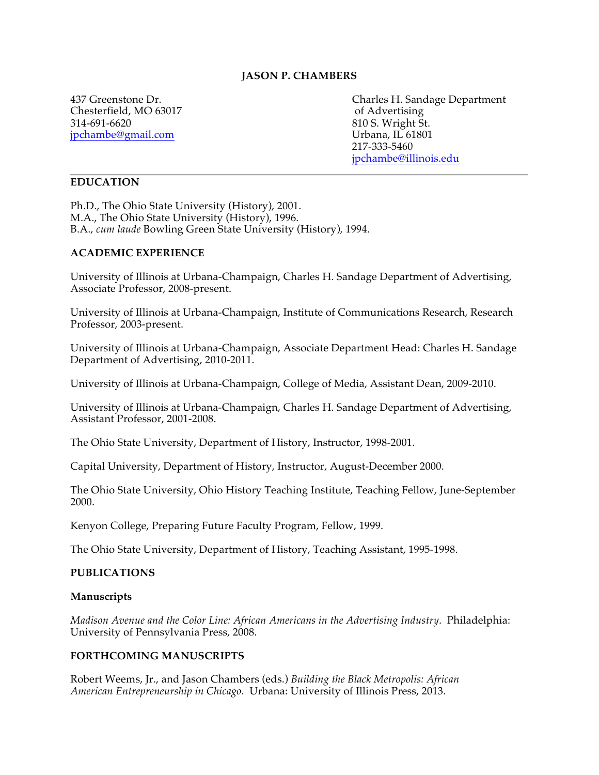## **JASON P. CHAMBERS**

Chesterfield, MO 63017 of Advertising 314-691-6620 810 S. Wright St.<br>
ipchambe@gmail.com Urbana, IL 61801 jpchambe@gmail.com

437 Greenstone Dr. Charles H. Sandage Department 217-333-5460 jpchambe@illinois.edu

## **EDUCATION**

Ph.D., The Ohio State University (History), 2001. M.A., The Ohio State University (History), 1996. B.A., *cum laude* Bowling Green State University (History), 1994.

#### **ACADEMIC EXPERIENCE**

University of Illinois at Urbana-Champaign, Charles H. Sandage Department of Advertising, Associate Professor, 2008-present.

University of Illinois at Urbana-Champaign, Institute of Communications Research, Research Professor, 2003-present.

University of Illinois at Urbana-Champaign, Associate Department Head: Charles H. Sandage Department of Advertising, 2010-2011.

University of Illinois at Urbana-Champaign, College of Media, Assistant Dean, 2009-2010.

University of Illinois at Urbana-Champaign, Charles H. Sandage Department of Advertising, Assistant Professor, 2001-2008.

The Ohio State University, Department of History, Instructor, 1998-2001.

Capital University, Department of History, Instructor, August-December 2000.

The Ohio State University, Ohio History Teaching Institute, Teaching Fellow, June-September 2000.

Kenyon College, Preparing Future Faculty Program, Fellow, 1999.

The Ohio State University, Department of History, Teaching Assistant, 1995-1998.

#### **PUBLICATIONS**

#### **Manuscripts**

*Madison Avenue and the Color Line: African Americans in the Advertising Industry*. Philadelphia: University of Pennsylvania Press, 2008.

#### **FORTHCOMING MANUSCRIPTS**

Robert Weems, Jr., and Jason Chambers (eds.) *Building the Black Metropolis: African American Entrepreneurship in Chicago*. Urbana: University of Illinois Press, 2013.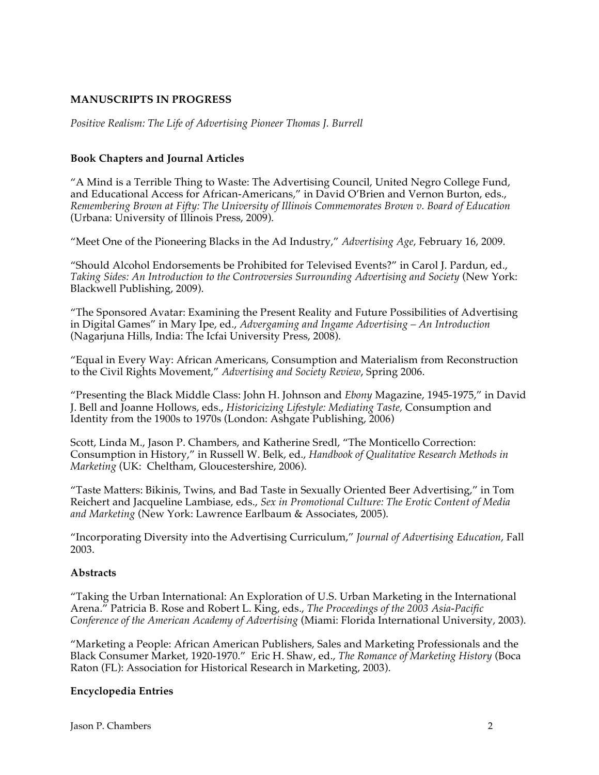## **MANUSCRIPTS IN PROGRESS**

*Positive Realism: The Life of Advertising Pioneer Thomas J. Burrell*

## **Book Chapters and Journal Articles**

"A Mind is a Terrible Thing to Waste: The Advertising Council, United Negro College Fund, and Educational Access for African-Americans," in David O'Brien and Vernon Burton, eds., *Remembering Brown at Fifty: The University of Illinois Commemorates Brown v. Board of Education* (Urbana: University of Illinois Press, 2009).

"Meet One of the Pioneering Blacks in the Ad Industry," *Advertising Age*, February 16, 2009.

"Should Alcohol Endorsements be Prohibited for Televised Events?" in Carol J. Pardun, ed., *Taking Sides: An Introduction to the Controversies Surrounding Advertising and Society* (New York: Blackwell Publishing, 2009).

"The Sponsored Avatar: Examining the Present Reality and Future Possibilities of Advertising in Digital Games" in Mary Ipe, ed., *Advergaming and Ingame Advertising – An Introduction* (Nagarjuna Hills, India: The Icfai University Press, 2008).

"Equal in Every Way: African Americans, Consumption and Materialism from Reconstruction to the Civil Rights Movement," *Advertising and Society Review*, Spring 2006.

"Presenting the Black Middle Class: John H. Johnson and *Ebony* Magazine, 1945-1975," in David J. Bell and Joanne Hollows, eds., *Historicizing Lifestyle: Mediating Taste,* Consumption and Identity from the 1900s to 1970s (London: Ashgate Publishing, 2006)

Scott, Linda M., Jason P. Chambers, and Katherine Sredl, "The Monticello Correction: Consumption in History," in Russell W. Belk, ed., *Handbook of Qualitative Research Methods in Marketing* (UK: Cheltham, Gloucestershire, 2006).

"Taste Matters: Bikinis, Twins, and Bad Taste in Sexually Oriented Beer Advertising," in Tom Reichert and Jacqueline Lambiase, eds., *Sex in Promotional Culture: The Erotic Content of Media and Marketing* (New York: Lawrence Earlbaum & Associates, 2005).

"Incorporating Diversity into the Advertising Curriculum," *Journal of Advertising Education*, Fall 2003.

## **Abstracts**

"Taking the Urban International: An Exploration of U.S. Urban Marketing in the International Arena." Patricia B. Rose and Robert L. King, eds., *The Proceedings of the 2003 Asia-Pacific Conference of the American Academy of Advertising* (Miami: Florida International University, 2003).

"Marketing a People: African American Publishers, Sales and Marketing Professionals and the Black Consumer Market, 1920-1970." Eric H. Shaw, ed., *The Romance of Marketing History* (Boca Raton (FL): Association for Historical Research in Marketing, 2003).

## **Encyclopedia Entries**

Jason P. Chambers 2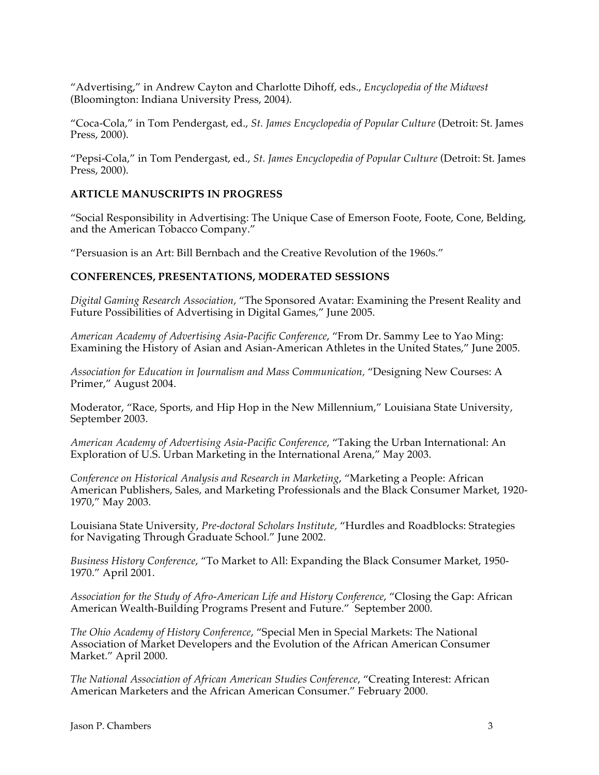"Advertising," in Andrew Cayton and Charlotte Dihoff, eds., *Encyclopedia of the Midwest* (Bloomington: Indiana University Press, 2004).

"Coca-Cola," in Tom Pendergast, ed., *St. James Encyclopedia of Popular Culture* (Detroit: St. James Press, 2000).

"Pepsi-Cola," in Tom Pendergast, ed., *St. James Encyclopedia of Popular Culture* (Detroit: St. James Press, 2000).

## **ARTICLE MANUSCRIPTS IN PROGRESS**

"Social Responsibility in Advertising: The Unique Case of Emerson Foote, Foote, Cone, Belding, and the American Tobacco Company."

"Persuasion is an Art: Bill Bernbach and the Creative Revolution of the 1960s."

## **CONFERENCES, PRESENTATIONS, MODERATED SESSIONS**

*Digital Gaming Research Association*, "The Sponsored Avatar: Examining the Present Reality and Future Possibilities of Advertising in Digital Games," June 2005.

*American Academy of Advertising Asia-Pacific Conference*, "From Dr. Sammy Lee to Yao Ming: Examining the History of Asian and Asian-American Athletes in the United States," June 2005.

*Association for Education in Journalism and Mass Communication,* "Designing New Courses: A Primer," August 2004.

Moderator, "Race, Sports, and Hip Hop in the New Millennium," Louisiana State University, September 2003.

*American Academy of Advertising Asia-Pacific Conference*, "Taking the Urban International: An Exploration of U.S. Urban Marketing in the International Arena," May 2003.

*Conference on Historical Analysis and Research in Marketing*, "Marketing a People: African American Publishers, Sales, and Marketing Professionals and the Black Consumer Market, 1920- 1970," May 2003.

Louisiana State University, *Pre-doctoral Scholars Institute,* "Hurdles and Roadblocks: Strategies for Navigating Through Graduate School." June 2002.

*Business History Conference*, "To Market to All: Expanding the Black Consumer Market, 1950- 1970." April 2001.

*Association for the Study of Afro-American Life and History Conference*, "Closing the Gap: African American Wealth-Building Programs Present and Future." September 2000.

*The Ohio Academy of History Conference*, "Special Men in Special Markets: The National Association of Market Developers and the Evolution of the African American Consumer Market." April 2000.

*The National Association of African American Studies Conference*, "Creating Interest: African American Marketers and the African American Consumer." February 2000.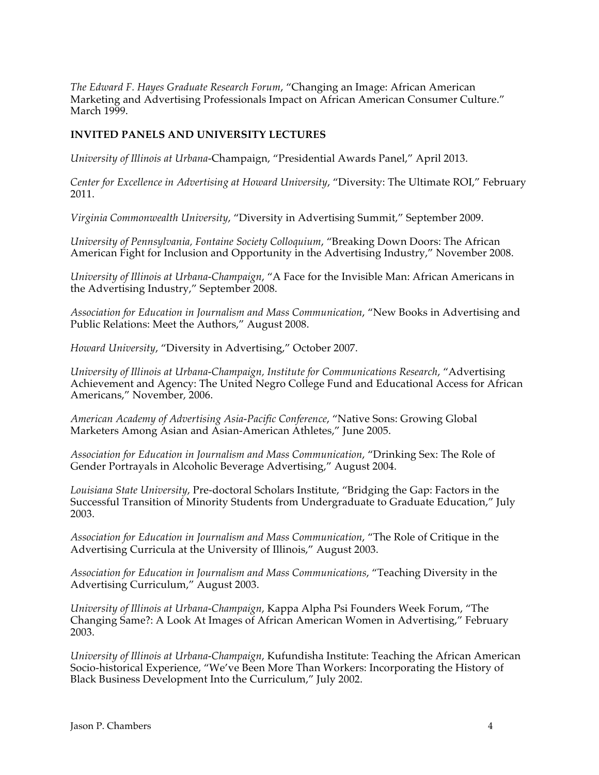*The Edward F. Hayes Graduate Research Forum*, "Changing an Image: African American Marketing and Advertising Professionals Impact on African American Consumer Culture." March 1999.

## **INVITED PANELS AND UNIVERSITY LECTURES**

*University of Illinois at Urbana-*Champaign, "Presidential Awards Panel," April 2013.

*Center for Excellence in Advertising at Howard University*, "Diversity: The Ultimate ROI," February 2011.

*Virginia Commonwealth University*, "Diversity in Advertising Summit," September 2009.

*University of Pennsylvania, Fontaine Society Colloquium*, "Breaking Down Doors: The African American Fight for Inclusion and Opportunity in the Advertising Industry," November 2008.

*University of Illinois at Urbana-Champaign*, "A Face for the Invisible Man: African Americans in the Advertising Industry," September 2008.

*Association for Education in Journalism and Mass Communication*, "New Books in Advertising and Public Relations: Meet the Authors," August 2008.

*Howard University*, "Diversity in Advertising," October 2007.

*University of Illinois at Urbana-Champaign, Institute for Communications Research*, "Advertising Achievement and Agency: The United Negro College Fund and Educational Access for African Americans," November, 2006.

*American Academy of Advertising Asia-Pacific Conference*, "Native Sons: Growing Global Marketers Among Asian and Asian-American Athletes," June 2005.

*Association for Education in Journalism and Mass Communication*, "Drinking Sex: The Role of Gender Portrayals in Alcoholic Beverage Advertising," August 2004.

*Louisiana State University*, Pre-doctoral Scholars Institute, "Bridging the Gap: Factors in the Successful Transition of Minority Students from Undergraduate to Graduate Education," July 2003.

*Association for Education in Journalism and Mass Communication*, "The Role of Critique in the Advertising Curricula at the University of Illinois," August 2003.

*Association for Education in Journalism and Mass Communications*, "Teaching Diversity in the Advertising Curriculum," August 2003.

*University of Illinois at Urbana-Champaign*, Kappa Alpha Psi Founders Week Forum, "The Changing Same?: A Look At Images of African American Women in Advertising," February 2003.

*University of Illinois at Urbana-Champaign*, Kufundisha Institute: Teaching the African American Socio-historical Experience, "We've Been More Than Workers: Incorporating the History of Black Business Development Into the Curriculum," July 2002.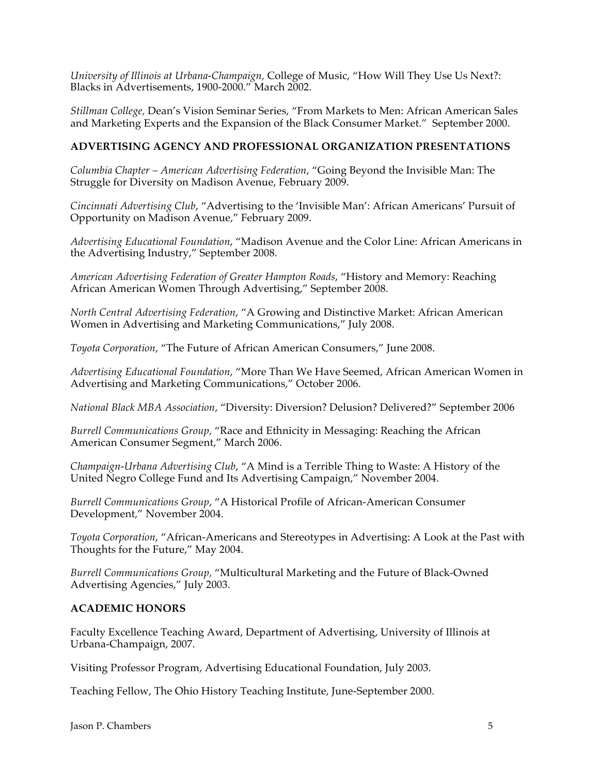*University of Illinois at Urbana-Champaign,* College of Music, "How Will They Use Us Next?: Blacks in Advertisements, 1900-2000." March 2002.

*Stillman College,* Dean's Vision Seminar Series, "From Markets to Men: African American Sales and Marketing Experts and the Expansion of the Black Consumer Market." September 2000.

## **ADVERTISING AGENCY AND PROFESSIONAL ORGANIZATION PRESENTATIONS**

*Columbia Chapter – American Advertising Federation*, "Going Beyond the Invisible Man: The Struggle for Diversity on Madison Avenue, February 2009.

*Cincinnati Advertising Club*, "Advertising to the 'Invisible Man': African Americans' Pursuit of Opportunity on Madison Avenue," February 2009.

*Advertising Educational Foundation*, "Madison Avenue and the Color Line: African Americans in the Advertising Industry," September 2008.

*American Advertising Federation of Greater Hampton Roads*, "History and Memory: Reaching African American Women Through Advertising," September 2008.

*North Central Advertising Federation*, "A Growing and Distinctive Market: African American Women in Advertising and Marketing Communications," July 2008.

*Toyota Corporation*, "The Future of African American Consumers," June 2008.

*Advertising Educational Foundation*, "More Than We Have Seemed, African American Women in Advertising and Marketing Communications," October 2006.

*National Black MBA Association*, "Diversity: Diversion? Delusion? Delivered?" September 2006

*Burrell Communications Group,* "Race and Ethnicity in Messaging: Reaching the African American Consumer Segment," March 2006.

*Champaign-Urbana Advertising Club*, "A Mind is a Terrible Thing to Waste: A History of the United Negro College Fund and Its Advertising Campaign," November 2004.

*Burrell Communications Group*, "A Historical Profile of African-American Consumer Development," November 2004.

*Toyota Corporation*, "African-Americans and Stereotypes in Advertising: A Look at the Past with Thoughts for the Future," May 2004.

*Burrell Communications Group,* "Multicultural Marketing and the Future of Black-Owned Advertising Agencies," July 2003.

# **ACADEMIC HONORS**

Faculty Excellence Teaching Award, Department of Advertising, University of Illinois at Urbana-Champaign, 2007.

Visiting Professor Program, Advertising Educational Foundation, July 2003.

Teaching Fellow, The Ohio History Teaching Institute, June-September 2000.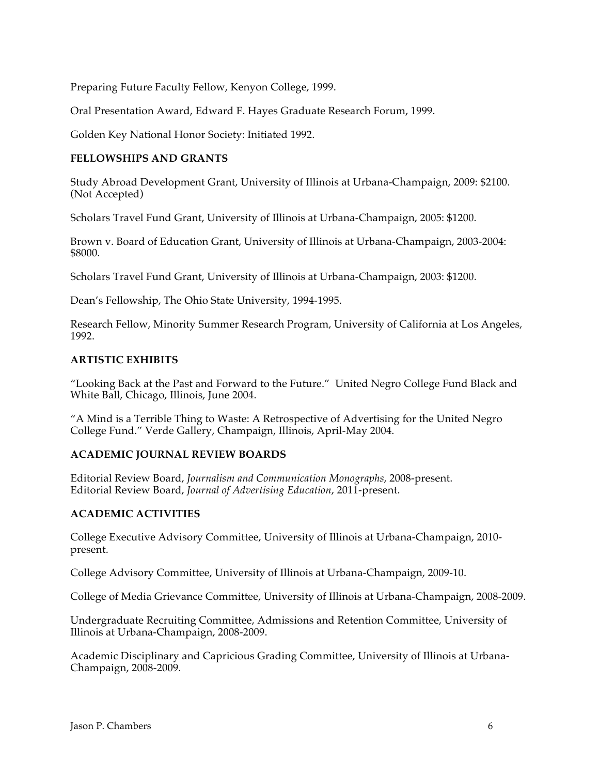Preparing Future Faculty Fellow, Kenyon College, 1999.

Oral Presentation Award, Edward F. Hayes Graduate Research Forum, 1999.

Golden Key National Honor Society: Initiated 1992.

## **FELLOWSHIPS AND GRANTS**

Study Abroad Development Grant, University of Illinois at Urbana-Champaign, 2009: \$2100. (Not Accepted)

Scholars Travel Fund Grant, University of Illinois at Urbana-Champaign, 2005: \$1200.

Brown v. Board of Education Grant, University of Illinois at Urbana-Champaign, 2003-2004: \$8000.

Scholars Travel Fund Grant, University of Illinois at Urbana-Champaign, 2003: \$1200.

Dean's Fellowship, The Ohio State University, 1994-1995.

Research Fellow, Minority Summer Research Program, University of California at Los Angeles, 1992.

## **ARTISTIC EXHIBITS**

"Looking Back at the Past and Forward to the Future." United Negro College Fund Black and White Ball, Chicago, Illinois, June 2004.

"A Mind is a Terrible Thing to Waste: A Retrospective of Advertising for the United Negro College Fund." Verde Gallery, Champaign, Illinois, April-May 2004.

## **ACADEMIC JOURNAL REVIEW BOARDS**

Editorial Review Board, *Journalism and Communication Monographs*, 2008-present. Editorial Review Board, *Journal of Advertising Education*, 2011-present.

# **ACADEMIC ACTIVITIES**

College Executive Advisory Committee, University of Illinois at Urbana-Champaign, 2010 present.

College Advisory Committee, University of Illinois at Urbana-Champaign, 2009-10.

College of Media Grievance Committee, University of Illinois at Urbana-Champaign, 2008-2009.

Undergraduate Recruiting Committee, Admissions and Retention Committee, University of Illinois at Urbana-Champaign, 2008-2009.

Academic Disciplinary and Capricious Grading Committee, University of Illinois at Urbana-Champaign, 2008-2009.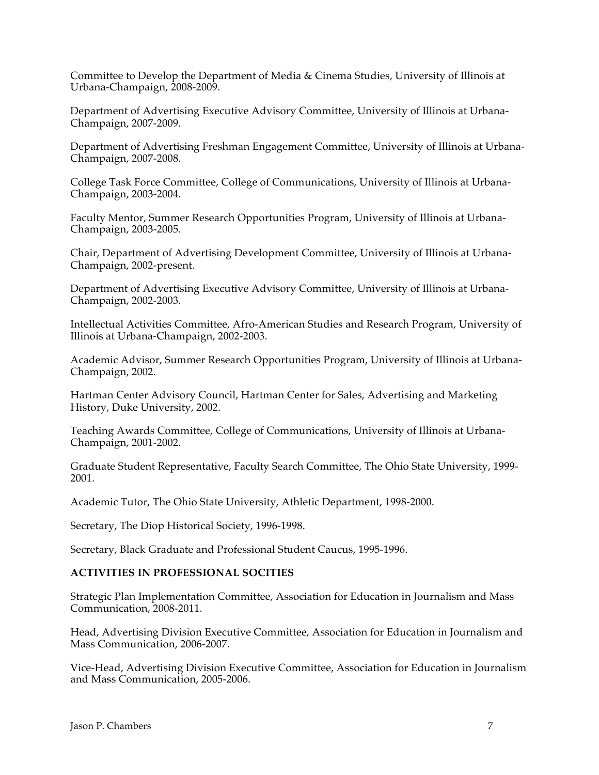Committee to Develop the Department of Media & Cinema Studies, University of Illinois at Urbana-Champaign, 2008-2009.

Department of Advertising Executive Advisory Committee, University of Illinois at Urbana-Champaign, 2007-2009.

Department of Advertising Freshman Engagement Committee, University of Illinois at Urbana-Champaign, 2007-2008.

College Task Force Committee, College of Communications, University of Illinois at Urbana-Champaign, 2003-2004.

Faculty Mentor, Summer Research Opportunities Program, University of Illinois at Urbana-Champaign, 2003-2005.

Chair, Department of Advertising Development Committee, University of Illinois at Urbana-Champaign, 2002-present.

Department of Advertising Executive Advisory Committee, University of Illinois at Urbana-Champaign, 2002-2003.

Intellectual Activities Committee, Afro-American Studies and Research Program, University of Illinois at Urbana-Champaign, 2002-2003.

Academic Advisor, Summer Research Opportunities Program, University of Illinois at Urbana-Champaign, 2002.

Hartman Center Advisory Council, Hartman Center for Sales, Advertising and Marketing History, Duke University, 2002.

Teaching Awards Committee, College of Communications, University of Illinois at Urbana-Champaign, 2001-2002.

Graduate Student Representative, Faculty Search Committee, The Ohio State University, 1999- 2001.

Academic Tutor, The Ohio State University, Athletic Department, 1998-2000.

Secretary, The Diop Historical Society, 1996-1998.

Secretary, Black Graduate and Professional Student Caucus, 1995-1996.

#### **ACTIVITIES IN PROFESSIONAL SOCITIES**

Strategic Plan Implementation Committee, Association for Education in Journalism and Mass Communication, 2008-2011.

Head, Advertising Division Executive Committee, Association for Education in Journalism and Mass Communication, 2006-2007.

Vice-Head, Advertising Division Executive Committee, Association for Education in Journalism and Mass Communication, 2005-2006.